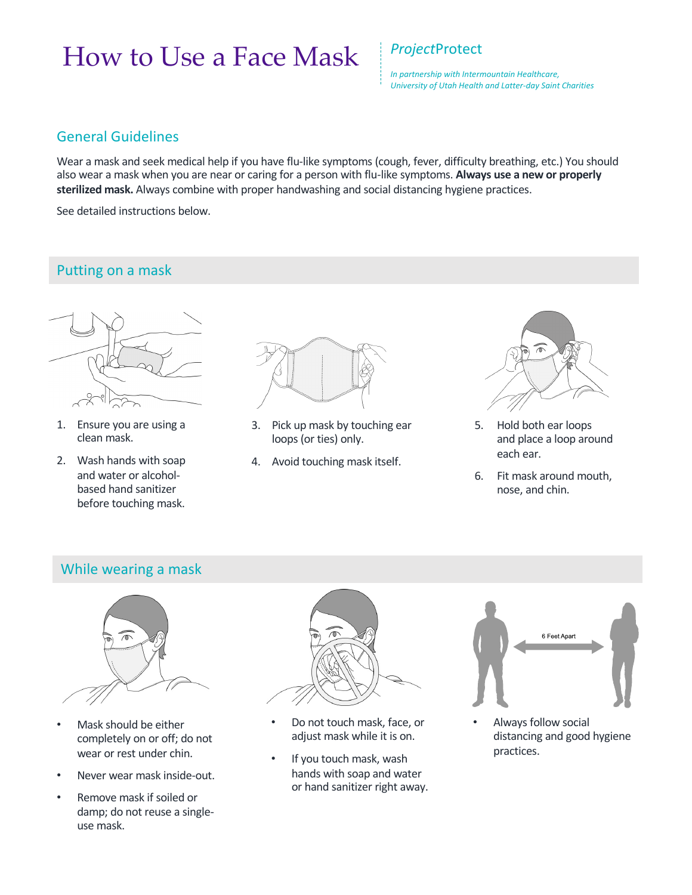# How to Use a Face Mask *Project*Protect

*In partnership with Intermountain Healthcare, University of Utah Health and Latter-day Saint Charities* 

#### General Guidelines

Wear a mask and seek medical help if you have flu-like symptoms (cough, fever, difficulty breathing, etc.) You should also wear a mask when you are near or caring for a person with flu-like symptoms. **Always use a new or properly sterilized mask.** Always combine with proper handwashing and social distancing hygiene practices.

See detailed instructions below.

## Putting on a mask



- 1. Ensure you are using a clean mask.
- 2. Wash hands with soap and water or alcoholbased hand sanitizer before touching mask.



- 3. Pick up mask by touching ear loops (or ties) only.
- 4. Avoid touching mask itself.



- 5. Hold both ear loops and place a loop around each ear.
- 6. Fit mask around mouth, nose, and chin.

#### While wearing a mask



- Mask should be either completely on or off; do not wear or rest under chin.
- Never wear mask inside-out.
- Remove mask if soiled or damp; do not reuse a singleuse mask.



- Do not touch mask, face, or adjust mask while it is on.
- If you touch mask, wash hands with soap and water or hand sanitizer right away.



• Always follow social distancing and good hygiene practices.